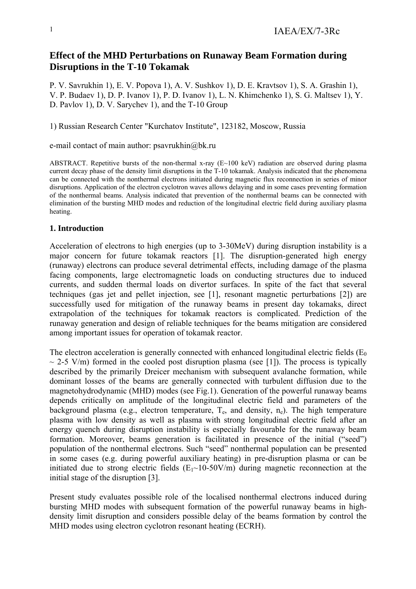# **Effect of the MHD Perturbations on Runaway Beam Formation during Disruptions in the T-10 Tokamak**

P. V. Savrukhin 1), E. V. Popova 1), A. V. Sushkov 1), D. E. Kravtsov 1), S. A. Grashin 1), V. P. Budaev 1), D. P. Ivanov 1), P. D. Ivanov 1), L. N. Khimchenko 1), S. G. Maltsev 1), Y. D. Pavlov 1), D. V. Sarychev 1), and the T-10 Group

1) Russian Research Center "Kurchatov Institute", 123182, Moscow, Russia

e-mail contact of main author: psavrukhin@bk.ru

ABSTRACT. Repetitive bursts of the non-thermal x-ray (E~100 keV) radiation are observed during plasma current decay phase of the density limit disruptions in the T-10 tokamak. Analysis indicated that the phenomena can be connected with the nonthermal electrons initiated during magnetic flux reconnection in series of minor disruptions. Application of the electron cyclotron waves allows delaying and in some cases preventing formation of the nonthermal beams. Analysis indicated that prevention of the nonthermal beams can be connected with elimination of the bursting MHD modes and reduction of the longitudinal electric field during auxiliary plasma heating.

## **1. Introduction**

Acceleration of electrons to high energies (up to 3-30MeV) during disruption instability is a major concern for future tokamak reactors [1]. The disruption-generated high energy (runaway) electrons can produce several detrimental effects, including damage of the plasma facing components, large electromagnetic loads on conducting structures due to induced currents, and sudden thermal loads on divertor surfaces. In spite of the fact that several techniques (gas jet and pellet injection, see [1], resonant magnetic perturbations [2]) are successfully used for mitigation of the runaway beams in present day tokamaks, direct extrapolation of the techniques for tokamak reactors is complicated. Prediction of the runaway generation and design of reliable techniques for the beams mitigation are considered among important issues for operation of tokamak reactor.

The electron acceleration is generally connected with enhanced longitudinal electric fields  $(E_0)$  $\sim$  2-5 V/m) formed in the cooled post disruption plasma (see [1]). The process is typically described by the primarily Dreicer mechanism with subsequent avalanche formation, while dominant losses of the beams are generally connected with turbulent diffusion due to the magnetohydrodynamic (MHD) modes (see Fig.1). Generation of the powerful runaway beams depends critically on amplitude of the longitudinal electric field and parameters of the background plasma (e.g., electron temperature,  $T_e$ , and density,  $n_e$ ). The high temperature plasma with low density as well as plasma with strong longitudinal electric field after an energy quench during disruption instability is especially favourable for the runaway beam formation. Moreover, beams generation is facilitated in presence of the initial ("seed") population of the nonthermal electrons. Such "seed" nonthermal population can be presented in some cases (e.g. during powerful auxiliary heating) in pre-disruption plasma or can be initiated due to strong electric fields  $(E_1 \sim 10-50$ V/m) during magnetic reconnection at the initial stage of the disruption [3].

Present study evaluates possible role of the localised nonthermal electrons induced during bursting MHD modes with subsequent formation of the powerful runaway beams in highdensity limit disruption and considers possible delay of the beams formation by control the MHD modes using electron cyclotron resonant heating (ECRH).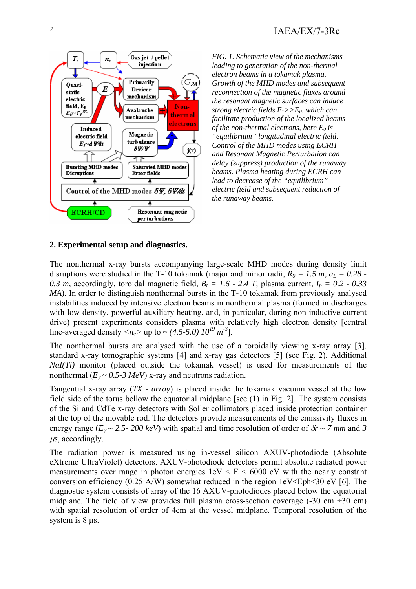

*FIG. 1. Schematic view of the mechanisms leading to generation of the non-thermal electron beams in a tokamak plasma. Growth of the MHD modes and subsequent reconnection of the magnetic fluxes around the resonant magnetic surfaces can induce strong electric fields*  $E_1 \rightarrow E_0$ , which can *facilitate production of the localized beams of the non-thermal electrons, here*  $E_0$  *is "equilibrium" longitudinal electric field. Control of the MHD modes using ECRH and Resonant Magnetic Perturbation can delay (suppress) production of the runaway beams. Plasma heating during ECRH can lead to decrease of the "equilibrium" electric field and subsequent reduction of the runaway beams.*

## **2. Experimental setup and diagnostics.**

The nonthermal x-ray bursts accompanying large-scale MHD modes during density limit disruptions were studied in the T-10 tokamak (major and minor radii,  $R_0 = 1.5$  m,  $a_L = 0.28$ . 0.3 m, accordingly, toroidal magnetic field,  $B_t = 1.6 - 2.4$  T, plasma current,  $I_p = 0.2 - 0.33$ *MA*). In order to distinguish nonthermal bursts in the T-10 tokamak from previously analysed instabilities induced by intensive electron beams in nonthermal plasma (formed in discharges with low density, powerful auxiliary heating, and, in particular, during non-inductive current drive) present experiments considers plasma with relatively high electron density [central line-averaged density  $\langle n_e \rangle$  up to  $\sim$  (4.5-5.0)  $10^{19}$  m<sup>-3</sup>].

The nonthermal bursts are analysed with the use of a toroidally viewing x-ray array [3], standard x-ray tomographic systems [4] and x-ray gas detectors [5] (see Fig. 2). Additional *NaI(Tl)* monitor (placed outside the tokamak vessel) is used for measurements of the nonthermal  $(E_y \sim 0.5-3 \text{ MeV})$  x-ray and neutrons radiation.

Tangential x-ray array (*TX - array*) is placed inside the tokamak vacuum vessel at the low field side of the torus bellow the equatorial midplane [see (1) in Fig. 2]. The system consists of the Si and CdTe x-ray detectors with Soller collimators placed inside protection container at the top of the movable rod. The detectors provide measurements of the emissivity fluxes in energy range ( $E<sub>y</sub> \sim 2.5$ - 200 keV) with spatial and time resolution of order of  $\delta r \sim 7$  mm and 3  $\mu$ s, accordingly.

The radiation power is measured using in-vessel silicon AXUV-photodiode (Absolute eXtreme UltraViolet) detectors. AXUV-photodiode detectors permit absolute radiated power measurements over range in photon energies  $1 \text{eV} < E < 6000 \text{ eV}$  with the nearly constant conversion efficiency (0.25 A/W) somewhat reduced in the region  $1 \text{eV}$  Eph <30 eV [6]. The diagnostic system consists of array of the 16 AXUV-photodiodes placed below the equatorial midplane. The field of view provides full plasma cross-section coverage  $(-30 \text{ cm} \div 30 \text{ cm})$ with spatial resolution of order of 4cm at the vessel midplane. Temporal resolution of the system is  $8$  us.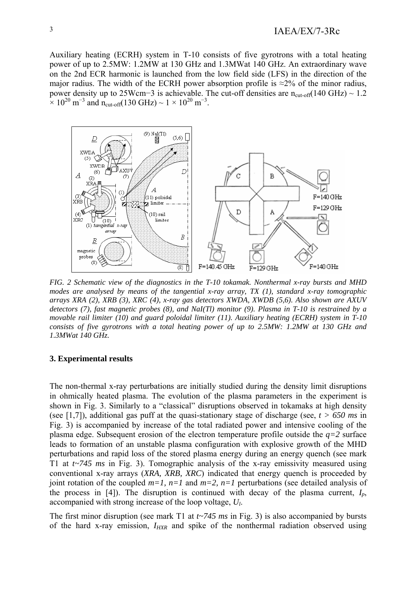Auxiliary heating (ECRH) system in T-10 consists of five gyrotrons with a total heating power of up to 2.5MW: 1.2MW at 130 GHz and 1.3MWat 140 GHz. An extraordinary wave on the 2nd ECR harmonic is launched from the low field side (LFS) in the direction of the major radius. The width of the ECRH power absorption profile is  $\approx$ 2% of the minor radius, power density up to 25Wcm–3 is achievable. The cut-off densities are  $n_{\text{cut-off}}(140 \text{ GHz}) \sim 1.2$  $\times 10^{20}$  m<sup>-3</sup> and n<sub>cut-off</sub>(130 GHz) ~ 1 × 10<sup>20</sup> m<sup>-3</sup>.



*FIG. 2 Schematic view of the diagnostics in the T-10 tokamak. Nonthermal x-ray bursts and MHD modes are analysed by means of the tangential x-ray array, TX (1), standard x-ray tomographic arrays XRA (2), XRB (3), XRC (4), x-ray gas detectors XWDA, XWDB (5,6). Also shown are AXUV detectors (7), fast magnetic probes (8), and NaI(Tl) monitor (9). Plasma in T-10 is restrained by a movable rail limiter (10) and guard poloidal limiter (11). Auxiliary heating (ECRH) system in T-10 consists of five gyrotrons with a total heating power of up to 2.5MW: 1.2MW at 130 GHz and 1.3MWat 140 GHz.* 

#### **3. Experimental results**

The non-thermal x-ray perturbations are initially studied during the density limit disruptions in ohmically heated plasma. The evolution of the plasma parameters in the experiment is shown in Fig. 3. Similarly to a "classical" disruptions observed in tokamaks at high density (see [1,7]), additional gas puff at the quasi-stationary stage of discharge (see,  $t > 650$  ms in Fig. 3) is accompanied by increase of the total radiated power and intensive cooling of the plasma edge. Subsequent erosion of the electron temperature profile outside the  $q=2$  surface leads to formation of an unstable plasma configuration with explosive growth of the MHD perturbations and rapid loss of the stored plasma energy during an energy quench (see mark T1 at *t~745 ms* in Fig. 3). Tomographic analysis of the x-ray emissivity measured using conventional x-ray arrays (*XRA, XRB, XRC*) indicated that energy quench is proceeded by joint rotation of the coupled  $m=1$ ,  $n=1$  and  $m=2$ ,  $n=1$  perturbations (see detailed analysis of the process in [4]). The disruption is continued with decay of the plasma current,  $I_p$ , accompanied with strong increase of the loop voltage, *Ul*.

The first minor disruption (see mark T1 at *t~745 ms* in Fig. 3) is also accompanied by bursts of the hard x-ray emission,  $I_{HXR}$  and spike of the nonthermal radiation observed using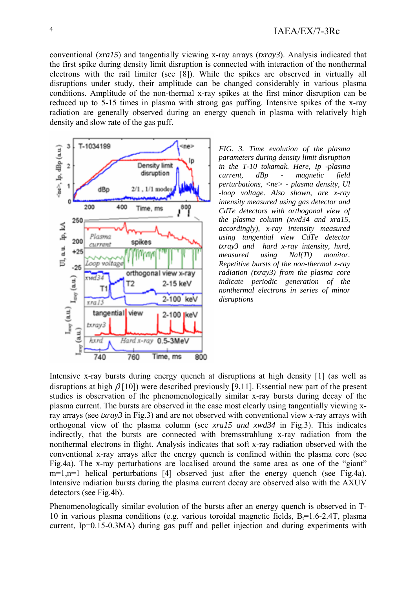conventional (*xra15*) and tangentially viewing x-ray arrays (*txray3*). Analysis indicated that the first spike during density limit disruption is connected with interaction of the nonthermal electrons with the rail limiter (see [8]). While the spikes are observed in virtually all disruptions under study, their amplitude can be changed considerably in various plasma conditions. Amplitude of the non-thermal x-ray spikes at the first minor disruption can be reduced up to 5-15 times in plasma with strong gas puffing. Intensive spikes of the x-ray radiation are generally observed during an energy quench in plasma with relatively high density and slow rate of the gas puff.



*FIG. 3. Time evolution of the plasma parameters during density limit disruption in the T-10 tokamak. Here, Ip -plasma current, dBp - magnetic field perturbations, <ne> - plasma density, Ul -loop voltage. Also shown, are x-ray intensity measured using gas detector and CdTe detectors with orthogonal view of the plasma column (xwd34 and xra15, accordingly), x-ray intensity measured using tangential view CdTe detector txray3 and hard x-ray intensity, hxrd, measured using NaI(Tl) monitor. Repetitive bursts of the non-thermal x-ray radiation (txray3) from the plasma core indicate periodic generation of the nonthermal electrons in series of minor disruptions*

Intensive x-ray bursts during energy quench at disruptions at high density [1] (as well as disruptions at high  $\beta$  [10]) were described previously [9,11]. Essential new part of the present studies is observation of the phenomenologically similar x-ray bursts during decay of the plasma current. The bursts are observed in the case most clearly using tangentially viewing xray arrays (see *txray3* in Fig.3) and are not observed with conventional view x-ray arrays with orthogonal view of the plasma column (see *xra15 and xwd34* in Fig.3). This indicates indirectly, that the bursts are connected with bremsstrahlung x-ray radiation from the nonthermal electrons in flight. Analysis indicates that soft x-ray radiation observed with the conventional x-ray arrays after the energy quench is confined within the plasma core (see Fig.4a). The x-ray perturbations are localised around the same area as one of the "giant" m=1,n=1 helical perturbations [4] observed just after the energy quench (see Fig.4a). Intensive radiation bursts during the plasma current decay are observed also with the AXUV detectors (see Fig.4b).

Phenomenologically similar evolution of the bursts after an energy quench is observed in T-10 in various plasma conditions (e.g. various toroidal magnetic fields,  $B_f=1.6-2.4T$ , plasma current, Ip=0.15-0.3MA) during gas puff and pellet injection and during experiments with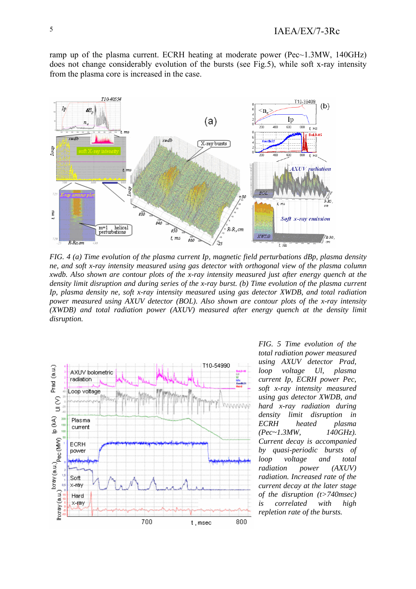ramp up of the plasma current. ECRH heating at moderate power (Pec~1.3MW, 140GHz) does not change considerably evolution of the bursts (see Fig.5), while soft x-ray intensity from the plasma core is increased in the case.



*FIG. 4 (a) Time evolution of the plasma current Ip, magnetic field perturbations dBp, plasma density ne, and soft x-ray intensity measured using gas detector with orthogonal view of the plasma column xwdb. Also shown are contour plots of the x-ray intensity measured just after energy quench at the density limit disruption and during series of the x-ray burst. (b) Time evolution of the plasma current Ip, plasma density ne, soft x-ray intensity measured using gas detector XWDB, and total radiation power measured using AXUV detector (BOL). Also shown are contour plots of the x-ray intensity (XWDB) and total radiation power (AXUV) measured after energy quench at the density limit disruption.* 



*FIG. 5 Time evolution of the total radiation power measured using AXUV detector Prad, loop voltage Ul, plasma current Ip, ECRH power Pec, soft x-ray intensity measured using gas detector XWDB, and hard x-ray radiation during density limit disruption in ECRH heated plasma (Pec~1.3MW, 140GHz). Current decay is accompanied by quasi-periodic bursts of loop voltage and total radiation power (AXUV) radiation. Increased rate of the current decay at the later stage of the disruption (t>740msec) is correlated with high repletion rate of the bursts.*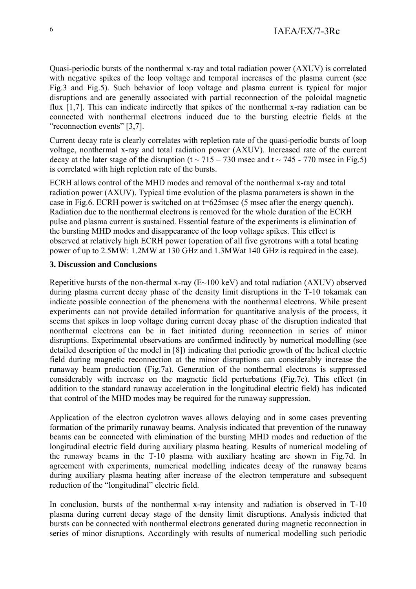Quasi-periodic bursts of the nonthermal x-ray and total radiation power (AXUV) is correlated with negative spikes of the loop voltage and temporal increases of the plasma current (see Fig.3 and Fig.5). Such behavior of loop voltage and plasma current is typical for major disruptions and are generally associated with partial reconnection of the poloidal magnetic flux [1,7]. This can indicate indirectly that spikes of the nonthermal x-ray radiation can be connected with nonthermal electrons induced due to the bursting electric fields at the "reconnection events" [3,7].

Current decay rate is clearly correlates with repletion rate of the quasi-periodic bursts of loop voltage, nonthermal x-ray and total radiation power (AXUV). Increased rate of the current decay at the later stage of the disruption (t  $\sim$  715 – 730 msec and t  $\sim$  745 - 770 msec in Fig.5) is correlated with high repletion rate of the bursts.

ECRH allows control of the MHD modes and removal of the nonthermal x-ray and total radiation power (AXUV). Typical time evolution of the plasma parameters is shown in the case in Fig.6. ECRH power is switched on at t=625msec (5 msec after the energy quench). Radiation due to the nonthermal electrons is removed for the whole duration of the ECRH pulse and plasma current is sustained. Essential feature of the experiments is elimination of the bursting MHD modes and disappearance of the loop voltage spikes. This effect is observed at relatively high ECRH power (operation of all five gyrotrons with a total heating power of up to 2.5MW: 1.2MW at 130 GHz and 1.3MWat 140 GHz is required in the case).

## **3. Discussion and Conclusions**

Repetitive bursts of the non-thermal x-ray  $(E~100 \text{ keV})$  and total radiation  $(AXUV)$  observed during plasma current decay phase of the density limit disruptions in the T-10 tokamak can indicate possible connection of the phenomena with the nonthermal electrons. While present experiments can not provide detailed information for quantitative analysis of the process, it seems that spikes in loop voltage during current decay phase of the disruption indicated that nonthermal electrons can be in fact initiated during reconnection in series of minor disruptions. Experimental observations are confirmed indirectly by numerical modelling (see detailed description of the model in [8]) indicating that periodic growth of the helical electric field during magnetic reconnection at the minor disruptions can considerably increase the runaway beam production (Fig.7a). Generation of the nonthermal electrons is suppressed considerably with increase on the magnetic field perturbations (Fig.7c). This effect (in addition to the standard runaway acceleration in the longitudinal electric field) has indicated that control of the MHD modes may be required for the runaway suppression.

Application of the electron cyclotron waves allows delaying and in some cases preventing formation of the primarily runaway beams. Analysis indicated that prevention of the runaway beams can be connected with elimination of the bursting MHD modes and reduction of the longitudinal electric field during auxiliary plasma heating. Results of numerical modeling of the runaway beams in the T-10 plasma with auxiliary heating are shown in Fig.7d. In agreement with experiments, numerical modelling indicates decay of the runaway beams during auxiliary plasma heating after increase of the electron temperature and subsequent reduction of the "longitudinal" electric field.

In conclusion, bursts of the nonthermal x-ray intensity and radiation is observed in T-10 plasma during current decay stage of the density limit disruptions. Analysis indicted that bursts can be connected with nonthermal electrons generated during magnetic reconnection in series of minor disruptions. Accordingly with results of numerical modelling such periodic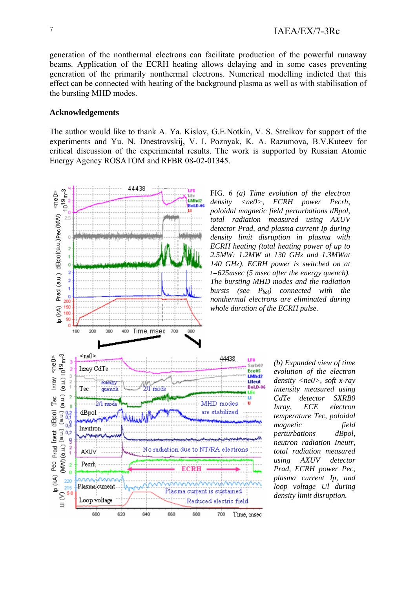generation of the nonthermal electrons can facilitate production of the powerful runaway beams. Application of the ECRH heating allows delaying and in some cases preventing generation of the primarily nonthermal electrons. Numerical modelling indicted that this effect can be connected with heating of the background plasma as well as with stabilisation of the bursting MHD modes.

## **Acknowledgements**

The author would like to thank A. Ya. Kislov, G.E.Notkin, V. S. Strelkov for support of the experiments and Yu. N. Dnestrovskij, V. I. Poznyak, K. A. Razumova, B.V.Kuteev for critical discussion of the experimental results. The work is supported by Russian Atomic Energy Agency ROSATOM and RFBR 08-02-01345.



FIG. 6 *(a) Time evolution of the electron density <ne0>, ECRH power Pecrh, poloidal magnetic field perturbations dBpol, total radiation measured using AXUV detector Prad, and plasma current Ip during density limit disruption in plasma with ECRH heating (total heating power of up to 2.5MW: 1.2MW at 130 GHz and 1.3MWat 140 GHz). ECRH power is switched on at t=625msec (5 msec after the energy quench). The bursting MHD modes and the radiation bursts (see P<sub>bol</sub>) connected with the nonthermal electrons are eliminated during whole duration of the ECRH pulse.*

> *(b) Expanded view of time evolution of the electron density <ne0>, soft x-ray intensity measured using CdTe detector SXRB0 Ixray, ECE electron temperature Tec, poloidal magnetic field perturbations dBpol, neutron radiation Ineutr, total radiation measured using AXUV detector Prad, ECRH power Pec, plasma current Ip, and loop voltage Ul during density limit disruption.*